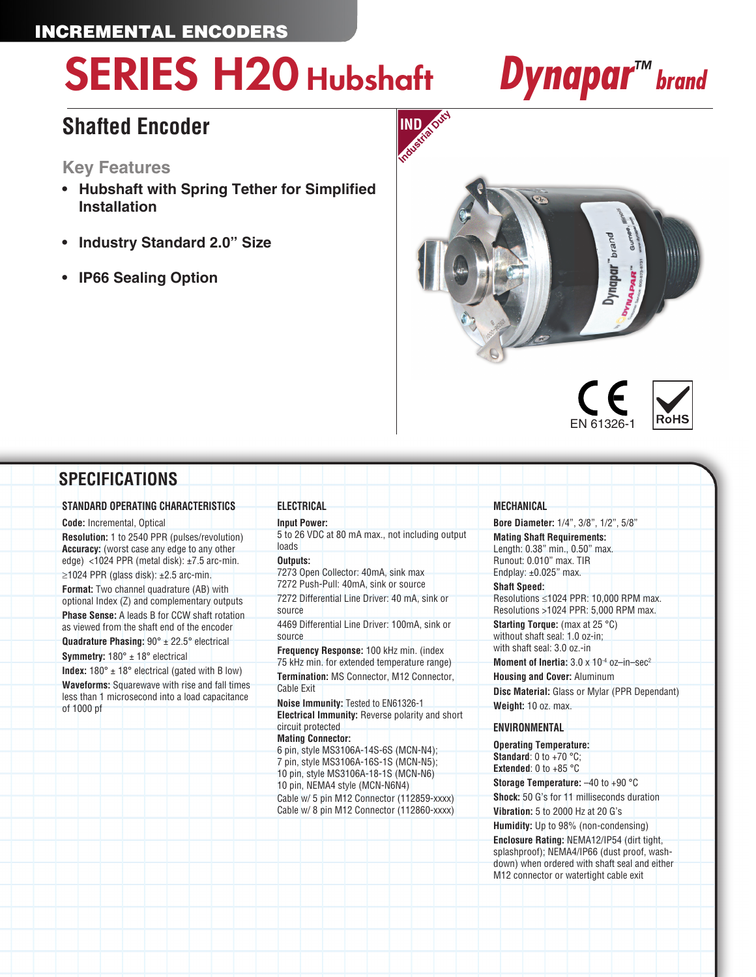## INCREMENTAL ENCODERS

# SERIES H20 Hubshaft *Dynapar™ brand*

## **Shafted Encoder**

### **Key Features**

- **• Hubshaft with Spring Tether for Simplified Installation**
- **• Industry Standard 2.0" Size**
- **• IP66 Sealing Option**







### **SPECIFICATIONS**

#### **STANDARD OPERATING CHARACTERISTICS**

**Code:** Incremental, Optical

**Resolution:** 1 to 2540 PPR (pulses/revolution) **Accuracy:** (worst case any edge to any other edge) <1024 PPR (metal disk): ±7.5 arc-min.  $\geq$ 1024 PPR (glass disk): ±2.5 arc-min.

**Format:** Two channel quadrature (AB) with optional Index (Z) and complementary outputs **Phase Sense:** A leads B for CCW shaft rotation as viewed from the shaft end of the encoder

**Quadrature Phasing:** 90° ± 22.5° electrical **Symmetry:** 180° ± 18° electrical

**Index:**  $180^\circ \pm 18^\circ$  electrical (gated with B low) **Waveforms:** Squarewave with rise and fall times less than 1 microsecond into a load capacitance of 1000 pf

**Input Power:** 5 to 26 VDC at 80 mA max., not including output loads

#### **Outputs:**

**ELECTRICAL**

7273 Open Collector: 40mA, sink max 7272 Push-Pull: 40mA, sink or source 7272 Differential Line Driver: 40 mA, sink or source

4469 Differential Line Driver: 100mA, sink or source

**Frequency Response:** 100 kHz min. (index 75 kHz min. for extended temperature range) **Termination:** MS Connector, M12 Connector, Cable Exit

**Noise Immunity:** Tested to EN61326-1 **Electrical Immunity:** Reverse polarity and short circuit protected **Mating Connector:**

6 pin, style MS3106A-14S-6S (MCN-N4); 7 pin, style MS3106A-16S-1S (MCN-N5); 10 pin, style MS3106A-18-1S (MCN-N6) 10 pin, NEMA4 style (MCN-N6N4) Cable w/ 5 pin M12 Connector (112859-xxxx) Cable w/ 8 pin M12 Connector (112860-xxxx)

#### **MECHANICAL**

**Bore Diameter:** 1/4", 3/8", 1/2", 5/8"

**Mating Shaft Requirements:** Length: 0.38" min., 0.50" max. Runout: 0.010" max. TIR Endplay:  $±0.025"$  max.

#### **Shaft Speed:**

Resolutions ≤1024 PPR: 10,000 RPM max. Resolutions >1024 PPR: 5,000 RPM max. **Starting Torque:** (max at 25 °C)

without shaft seal: 1.0 oz-in; with shaft seal: 3.0 oz.-in

**Moment of Inertia: 3.0 x 10<sup>-4</sup> oz-in-sec<sup>2</sup> Housing and Cover:** Aluminum

**Disc Material:** Glass or Mylar (PPR Dependant) **Weight:** 10 oz. max.

#### **ENVIRONMENTAL**

**Operating Temperature: Standard**: 0 to +70 °C: **Extended**: 0 to +85 °C **Storage Temperature:** –40 to +90 °C **Shock:** 50 G's for 11 milliseconds duration **Vibration:** 5 to 2000 Hz at 20 G's

**Humidity:** Up to 98% (non-condensing) **Enclosure Rating:** NEMA12/IP54 (dirt tight, splashproof); NEMA4/IP66 (dust proof, washdown) when ordered with shaft seal and either M12 connector or watertight cable exit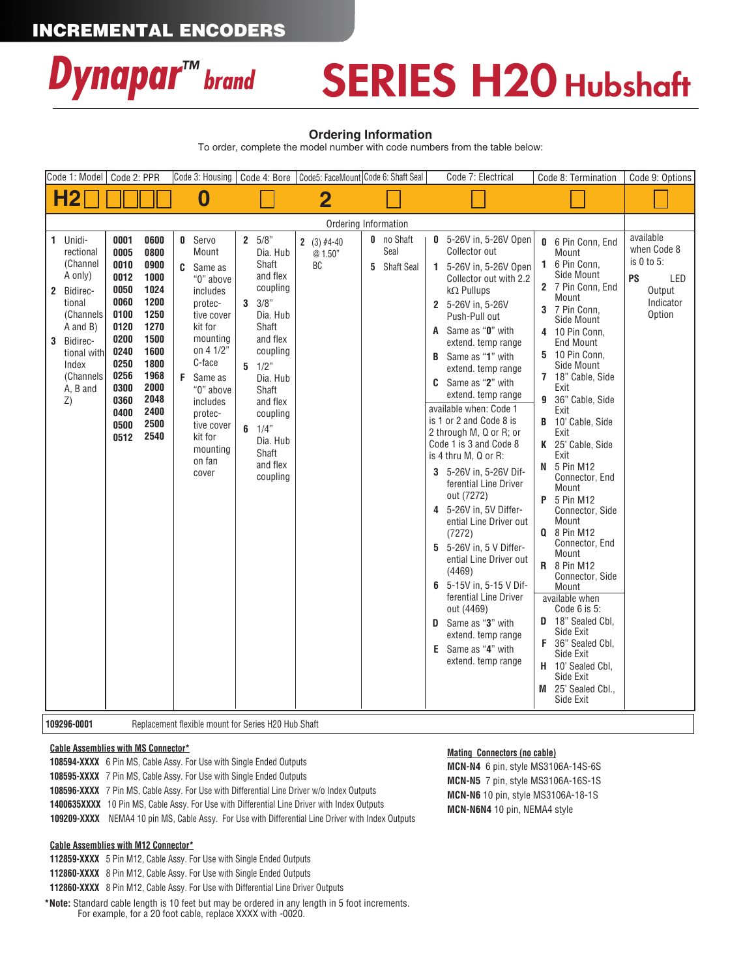## INCREMENTAL ENCODERS



## SERIES H20 Hubshaft

#### **Ordering Information**

To order, complete the model number with code numbers from the table below:

| Code 1: Model                                                                                                                |                                                                    | Code 2: PPR                                                                                                                          |                                                                                                                                      |  | Code 3: Housing                                                                                                                                                                                                                               |        |                                                                                                                                                                                                                               |  | Code 4: Bore   Code5: FaceMount Code 6: Shaft Seal |   |                                                | Code 7: Electrical                                                                                                                                                                                                                                                                                                                                                                                                                                                                                                                                                                                                                                                                                                                                                                                                 |                                                            | Code 8: Termination                                                                                                                                                                                                                                                                                                                                                                                                                                                                                                                                                                                                                                              | Code 9: Options                                                                      |
|------------------------------------------------------------------------------------------------------------------------------|--------------------------------------------------------------------|--------------------------------------------------------------------------------------------------------------------------------------|--------------------------------------------------------------------------------------------------------------------------------------|--|-----------------------------------------------------------------------------------------------------------------------------------------------------------------------------------------------------------------------------------------------|--------|-------------------------------------------------------------------------------------------------------------------------------------------------------------------------------------------------------------------------------|--|----------------------------------------------------|---|------------------------------------------------|--------------------------------------------------------------------------------------------------------------------------------------------------------------------------------------------------------------------------------------------------------------------------------------------------------------------------------------------------------------------------------------------------------------------------------------------------------------------------------------------------------------------------------------------------------------------------------------------------------------------------------------------------------------------------------------------------------------------------------------------------------------------------------------------------------------------|------------------------------------------------------------|------------------------------------------------------------------------------------------------------------------------------------------------------------------------------------------------------------------------------------------------------------------------------------------------------------------------------------------------------------------------------------------------------------------------------------------------------------------------------------------------------------------------------------------------------------------------------------------------------------------------------------------------------------------|--------------------------------------------------------------------------------------|
| <b>H2</b>                                                                                                                    |                                                                    |                                                                                                                                      |                                                                                                                                      |  | 0                                                                                                                                                                                                                                             |        |                                                                                                                                                                                                                               |  | 2                                                  |   |                                                |                                                                                                                                                                                                                                                                                                                                                                                                                                                                                                                                                                                                                                                                                                                                                                                                                    |                                                            |                                                                                                                                                                                                                                                                                                                                                                                                                                                                                                                                                                                                                                                                  |                                                                                      |
|                                                                                                                              |                                                                    |                                                                                                                                      |                                                                                                                                      |  |                                                                                                                                                                                                                                               |        |                                                                                                                                                                                                                               |  | Ordering Information                               |   |                                                |                                                                                                                                                                                                                                                                                                                                                                                                                                                                                                                                                                                                                                                                                                                                                                                                                    |                                                            |                                                                                                                                                                                                                                                                                                                                                                                                                                                                                                                                                                                                                                                                  |                                                                                      |
| 1 Unidi-<br>rectional<br>(Channel<br>A only)<br>2 Bidirec-<br>tional<br>A and B)<br>Bidirec-<br>3<br>Index<br>A, B and<br>Z) | (Channels<br>tional with<br>(Channels                              | 0001<br>0005<br>0010<br>0012<br>0050<br>0060<br>0100<br>0120<br>0200<br>0240<br>0250<br>0256<br>0300<br>0360<br>0400<br>0500<br>0512 | 0600<br>0800<br>0900<br>1000<br>1024<br>1200<br>1250<br>1270<br>1500<br>1600<br>1800<br>1968<br>2000<br>2048<br>2400<br>2500<br>2540 |  | <b>0</b> Servo<br>Mount<br>C Same as<br>"0" above<br>includes<br>protec-<br>tive cover<br>kit for<br>mounting<br>on 4 1/2"<br>C-face<br>F Same as<br>"0" above<br>includes<br>protec-<br>tive cover<br>kit for<br>mounting<br>on fan<br>cover | 3<br>6 | $2 \t 5/8$<br>Dia. Hub<br>Shaft<br>and flex<br>coupling<br>3/8"<br>Dia. Hub<br>Shaft<br>and flex<br>coupling<br>$5 \t1/2$ "<br>Dia. Hub<br>Shaft<br>and flex<br>coupling<br>1/4"<br>Dia. Hub<br>Shaft<br>and flex<br>coupling |  | 2 (3) $#4-40$<br>@ 1.50"<br>BC                     | 5 | <b>0</b> no Shaft<br>Seal<br><b>Shaft Seal</b> | 0 5-26V in, 5-26V Open<br>Collector out<br>1 5-26V in, 5-26V Open<br>Collector out with 2.2<br>$k\Omega$ Pullups<br>2 5-26V in, 5-26V<br>Push-Pull out<br>A Same as "0" with<br>extend. temp range<br><b>B</b> Same as " <b>1</b> " with<br>extend, temp range<br><b>C</b> Same as "2" with<br>extend. temp range<br>available when: Code 1<br>is 1 or 2 and Code 8 is<br>2 through M, Q or R; or<br>Code 1 is 3 and Code 8<br>is 4 thru M, Q or R:<br>3 5-26V in, 5-26V Dif-<br>ferential Line Driver<br>out (7272)<br>4 5-26V in, 5V Differ-<br>ential Line Driver out<br>(7272)<br>5 5-26V in. 5 V Differ-<br>ential Line Driver out<br>(4469)<br>6 5-15V in, 5-15 V Dif-<br>ferential Line Driver<br>out (4469)<br><b>D</b> Same as "3" with<br>extend. temp range<br>E Same as "4" with<br>extend, temp range | 0<br>1.<br>3<br>4<br>5<br>7<br>9<br>B<br>K<br>N<br>P<br>F. | 6 Pin Conn. End<br>Mount<br>6 Pin Conn,<br>Side Mount<br>2 7 Pin Conn. End<br>Mount<br>7 Pin Conn,<br>Side Mount<br>10 Pin Conn.<br><b>End Mount</b><br>10 Pin Conn.<br>Side Mount<br>18" Cable, Side<br>Exit<br>36" Cable, Side<br>Exit<br>10' Cable, Side<br>Exit<br>25' Cable, Side<br>Exit<br>5 Pin M12<br>Connector, End<br>Mount<br>5 Pin M12<br>Connector, Side<br>Mount<br><b>Q</b> 8 Pin M12<br>Connector, End<br>Mount<br><b>R</b> 8 Pin M12<br>Connector, Side<br>Mount<br>available when<br>Code $6$ is $5$ :<br>D 18" Sealed Cbl,<br>Side Exit<br>36" Sealed Cbl,<br>Side Exit<br>H 10' Sealed Cbl.<br>Side Exit<br>M 25' Sealed Cbl.,<br>Side Exit | available<br>when Code 8<br>is 0 to 5:<br>PS<br>LED<br>Output<br>Indicator<br>Option |
|                                                                                                                              | 109296-0001<br>Replacement flexible mount for Series H20 Hub Shaft |                                                                                                                                      |                                                                                                                                      |  |                                                                                                                                                                                                                                               |        |                                                                                                                                                                                                                               |  |                                                    |   |                                                |                                                                                                                                                                                                                                                                                                                                                                                                                                                                                                                                                                                                                                                                                                                                                                                                                    |                                                            |                                                                                                                                                                                                                                                                                                                                                                                                                                                                                                                                                                                                                                                                  |                                                                                      |

#### **Cable Assemblies with MS Connector\***

**108594-XXXX** 6 Pin MS, Cable Assy. For Use with Single Ended Outputs **108595-XXXX** 7 Pin MS, Cable Assy. For Use with Single Ended Outputs **108596-XXXX** 7 Pin MS, Cable Assy. For Use with Differential Line Driver w/o Index Outputs **1400635XXXX** 10 Pin MS, Cable Assy. For Use with Differential Line Driver with Index Outputs  **109209-XXXX** NEMA4 10 pin MS, Cable Assy. For Use with Differential Line Driver with Index Outputs

#### **Cable Assemblies with M12 Connector\***

**112859-XXXX** 5 Pin M12, Cable Assy. For Use with Single Ended Outputs

**112860-XXXX** 8 Pin M12, Cable Assy. For Use with Single Ended Outputs

**112860-XXXX** 8 Pin M12, Cable Assy. For Use with Differential Line Driver Outputs

**\*Note:** Standard cable length is 10 feet but may be ordered in any length in 5 foot increments. For example, for a 20 foot cable, replace XXXX with -0020.

#### **Mating Connectors (no cable)**

**MCN-N4** 6 pin, style MS3106A-14S-6S **MCN-N5** 7 pin, style MS3106A-16S-1S **MCN-N6** 10 pin, style MS3106A-18-1S **MCN-N6N4** 10 pin, NEMA4 style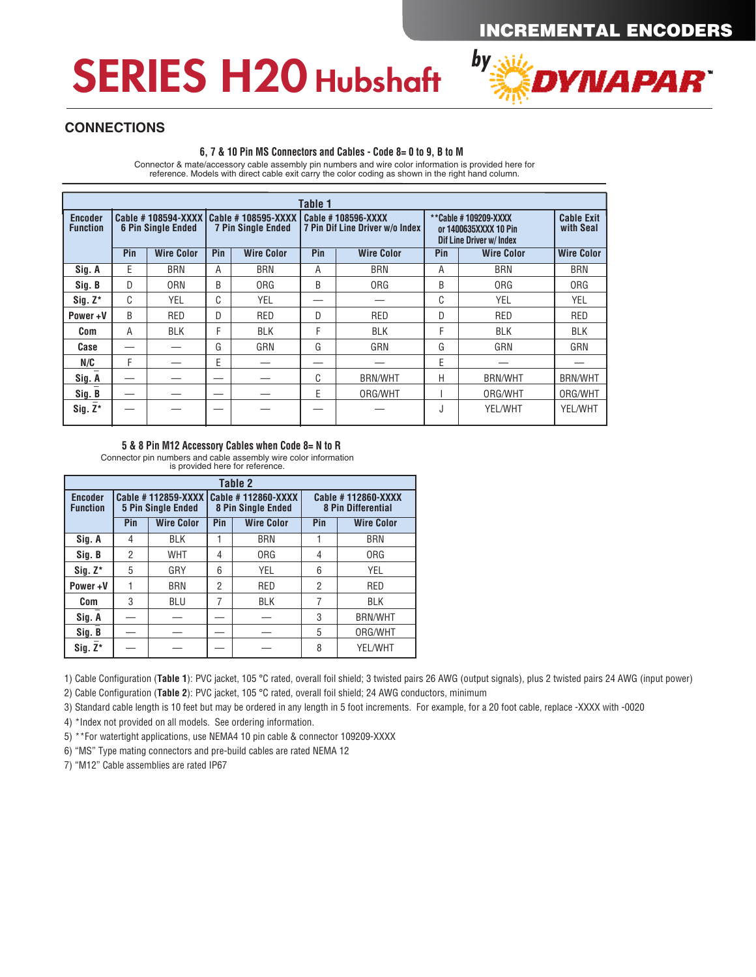## SERIES H20 Hubshaft



#### **CONNECTIONS**

#### **6, 7 & 10 Pin MS Connectors and Cables - Code 8= 0 to 9, B to M**

Connector & mate/accessory cable assembly pin numbers and wire color information is provided here for reference. Models with direct cable exit carry the color coding as shown in the right hand column.

| Table 1                    |     |                           |     |                                                                      |     |                                                       |                                                                                  |                                |                   |  |  |  |
|----------------------------|-----|---------------------------|-----|----------------------------------------------------------------------|-----|-------------------------------------------------------|----------------------------------------------------------------------------------|--------------------------------|-------------------|--|--|--|
| Encoder<br><b>Function</b> |     | <b>6 Pin Single Ended</b> |     | Cable #108594-XXXX   Cable #108595-XXXX<br><b>7 Pin Single Ended</b> |     | Cable #108596-XXXX<br>7 Pin Dif Line Driver w/o Index | **Cable #109209-XXXX<br>or 1400635XXXX 10 Pin<br><b>Dif Line Driver w/ Index</b> | <b>Cable Exit</b><br>with Seal |                   |  |  |  |
|                            | Pin | <b>Wire Color</b>         | Pin | <b>Wire Color</b>                                                    | Pin | <b>Wire Color</b>                                     | Pin                                                                              | <b>Wire Color</b>              | <b>Wire Color</b> |  |  |  |
| Sig. A                     | E   | <b>BRN</b>                | A   | <b>BRN</b>                                                           | Α   | <b>BRN</b>                                            | A                                                                                | <b>BRN</b>                     | <b>BRN</b>        |  |  |  |
| Sig. B                     | D   | <b>ORN</b>                | B   | 0RG                                                                  | B   | <b>ORG</b>                                            | B                                                                                | <b>ORG</b>                     | <b>ORG</b>        |  |  |  |
| $Sig. Z^*$                 | C   | YEL                       | C   | <b>YEL</b>                                                           |     |                                                       | C                                                                                | <b>YEL</b>                     | YEL               |  |  |  |
| Power+V                    | B   | <b>RED</b>                | D   | RED                                                                  | D   | RED                                                   | D                                                                                | RED                            | <b>RED</b>        |  |  |  |
| Com                        | Α   | <b>BLK</b>                | F   | <b>BLK</b>                                                           | F   | <b>BLK</b>                                            | F                                                                                | <b>BLK</b>                     | <b>BLK</b>        |  |  |  |
| Case                       |     |                           | G   | GRN                                                                  | G   | GRN                                                   | G                                                                                | GRN                            | GRN               |  |  |  |
| N/C                        | F   |                           | E   |                                                                      |     |                                                       | E                                                                                |                                |                   |  |  |  |
| Sig. A                     |     |                           |     |                                                                      | C   | <b>BRN/WHT</b>                                        | H                                                                                | <b>BRN/WHT</b>                 | <b>BRN/WHT</b>    |  |  |  |
| Sig. B                     |     |                           |     |                                                                      | E   | ORG/WHT                                               |                                                                                  | ORG/WHT                        | ORG/WHT           |  |  |  |
| $Sig. Z^*$                 |     |                           |     |                                                                      |     |                                                       | ٠J                                                                               | YEL/WHT                        | <b>YEL/WHT</b>    |  |  |  |

#### **5 & 8 Pin M12 Accessory Cables when Code 8= N to R**

Connector pin numbers and cable assembly wire color information is provided here for reference.

| Table 2                           |     |                                                 |                |                                                 |                                                 |                   |  |  |  |  |  |
|-----------------------------------|-----|-------------------------------------------------|----------------|-------------------------------------------------|-------------------------------------------------|-------------------|--|--|--|--|--|
| <b>Encoder</b><br><b>Function</b> |     | Cable #112859-XXXX<br><b>5 Pin Single Ended</b> |                | Cable #112860-XXXX<br><b>8 Pin Single Ended</b> | Cable #112860-XXXX<br><b>8 Pin Differential</b> |                   |  |  |  |  |  |
|                                   | Pin | <b>Wire Color</b>                               | Pin            | <b>Wire Color</b>                               | Pin                                             | <b>Wire Color</b> |  |  |  |  |  |
| Sig. A                            | 4   | <b>BLK</b>                                      |                | <b>BRN</b>                                      |                                                 | <b>BRN</b>        |  |  |  |  |  |
| Sig. B                            | 2   | <b>WHT</b>                                      | 4              | 0 <sub>RG</sub>                                 | 4                                               | <b>ORG</b>        |  |  |  |  |  |
| $Siq. Z^*$                        | 5   | GRY                                             | 6              | YEL                                             | 6                                               | <b>YEL</b>        |  |  |  |  |  |
| Power+V                           |     | <b>BRN</b>                                      | $\overline{2}$ | <b>RED</b>                                      | $\overline{2}$                                  | <b>RED</b>        |  |  |  |  |  |
| <b>Com</b>                        | 3   | <b>BLU</b>                                      | 7              | <b>BLK</b>                                      | 7                                               | <b>BLK</b>        |  |  |  |  |  |
| Sig. A                            |     |                                                 |                |                                                 | 3                                               | <b>BRN/WHT</b>    |  |  |  |  |  |
| Sig. B                            |     |                                                 |                |                                                 | 5                                               | ORG/WHT           |  |  |  |  |  |
| $Sig. Z^*$                        |     |                                                 |                |                                                 | 8                                               | YEL/WHT           |  |  |  |  |  |

1) Cable Configuration (**Table 1**): PVC jacket, 105 °C rated, overall foil shield; 3 twisted pairs 26 AWG (output signals), plus 2 twisted pairs 24 AWG (input power)

2) Cable Configuration (**Table 2**): PVC jacket, 105 °C rated, overall foil shield; 24 AWG conductors, minimum

3) Standard cable length is 10 feet but may be ordered in any length in 5 foot increments. For example, for a 20 foot cable, replace -XXXX with -0020

4) \*Index not provided on all models. See ordering information.

5) \*\*For watertight applications, use NEMA4 10 pin cable & connector 109209-XXXX

6) "MS" Type mating connectors and pre-build cables are rated NEMA 12

7) "M12" Cable assemblies are rated IP67